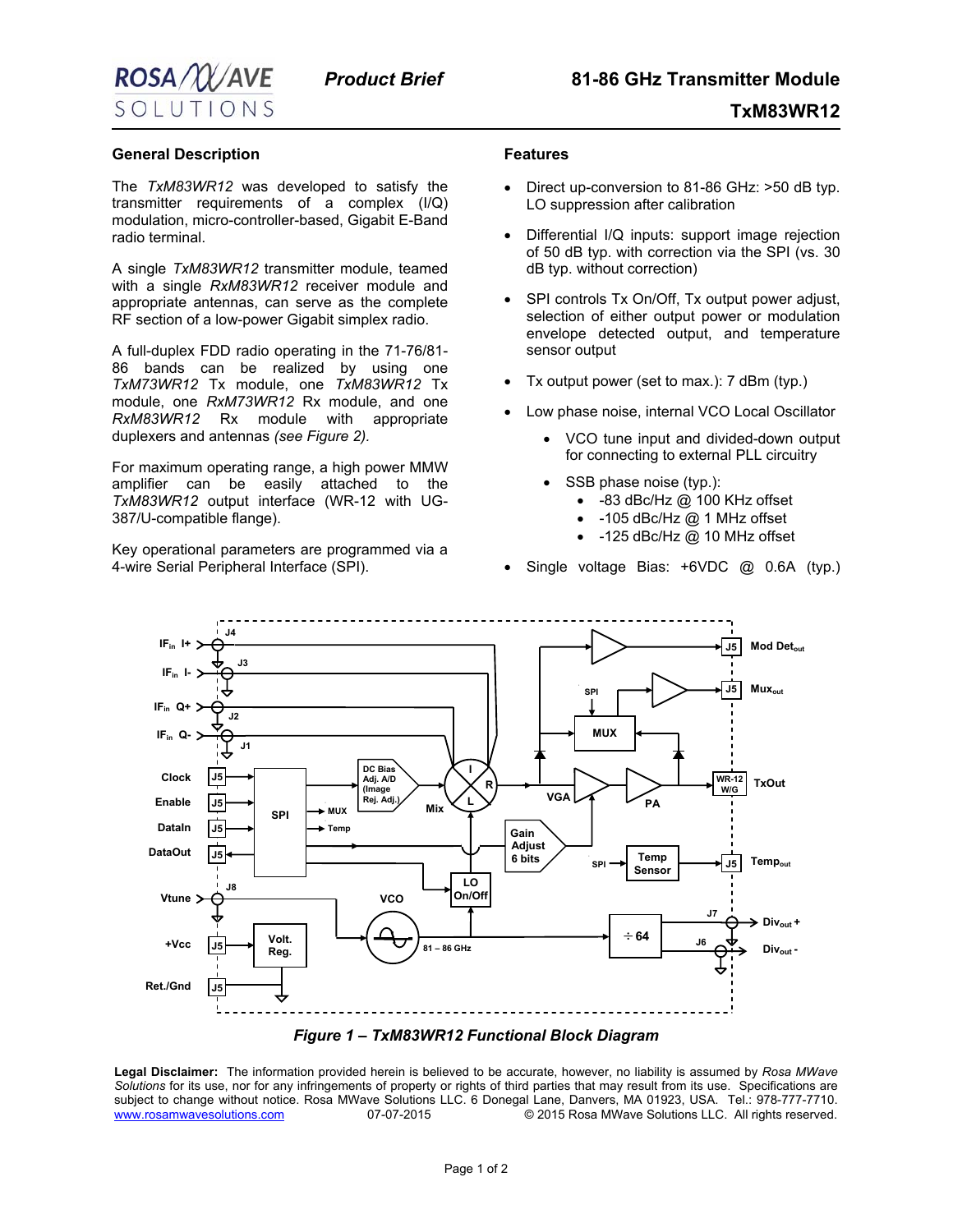

## **TxM83WR12**

## **General Description**

The *TxM83WR12* was developed to satisfy the transmitter requirements of a complex (I/Q) modulation, micro-controller-based, Gigabit E-Band radio terminal.

A single *TxM83WR12* transmitter module, teamed with a single *RxM83WR12* receiver module and appropriate antennas, can serve as the complete RF section of a low-power Gigabit simplex radio.

A full-duplex FDD radio operating in the 71-76/81- 86 bands can be realized by using one *TxM73WR12* Tx module, one *TxM83WR12* Tx module, one *RxM73WR12* Rx module, and one *RxM83WR12* Rx module with appropriate duplexers and antennas *(see Figure 2).* 

For maximum operating range, a high power MMW amplifier can be easily attached to the *TxM83WR12* output interface (WR-12 with UG-387/U-compatible flange).

Key operational parameters are programmed via a 4-wire Serial Peripheral Interface (SPI).

## **Features**

- Direct up-conversion to 81-86 GHz: >50 dB typ. LO suppression after calibration
- Differential I/Q inputs: support image rejection of 50 dB typ. with correction via the SPI (vs. 30 dB typ. without correction)
- SPI controls Tx On/Off, Tx output power adjust, selection of either output power or modulation envelope detected output, and temperature sensor output
- Tx output power (set to max.): 7 dBm (typ.)
- Low phase noise, internal VCO Local Oscillator
	- VCO tune input and divided-down output for connecting to external PLL circuitry
	- SSB phase noise (typ.):
		- -83 dBc/Hz @ 100 KHz offset
		- -105 dBc/Hz @ 1 MHz offset
		- -125 dBc/Hz @ 10 MHz offset
- Single voltage Bias: +6VDC @ 0.6A (typ.)





**Legal Disclaimer:** The information provided herein is believed to be accurate, however, no liability is assumed by *Rosa MWave Solutions* for its use, nor for any infringements of property or rights of third parties that may result from its use. Specifications are subject to change without notice. Rosa MWave Solutions LLC. 6 Donegal Lane, Danvers, MA 01923, USA. Tel.: 978-777-7710.<br>.www.rosamwavesolutions.com 07-07-2015 © 2015 Rosa MWave Solutions LLC. All rights reserved. 07-07-2015 <sup>C</sup> 2015 Rosa MWave Solutions LLC. All rights reserved.